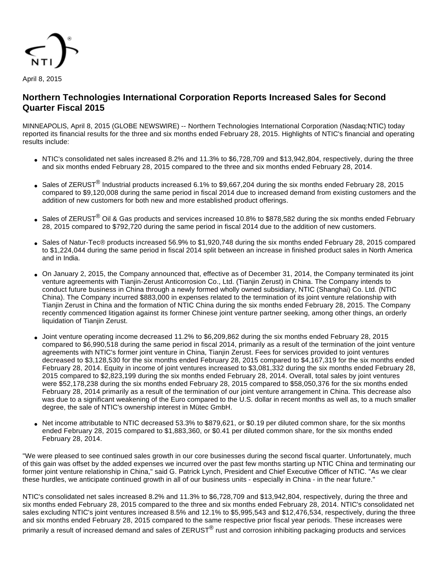

# **Northern Technologies International Corporation Reports Increased Sales for Second Quarter Fiscal 2015**

MINNEAPOLIS, April 8, 2015 (GLOBE NEWSWIRE) -- Northern Technologies International Corporation (Nasdaq:NTIC) today reported its financial results for the three and six months ended February 28, 2015. Highlights of NTIC's financial and operating results include:

- NTIC's consolidated net sales increased 8.2% and 11.3% to  $$6,728,709$  and  $$13,942,804$ , respectively, during the three and six months ended February 28, 2015 compared to the three and six months ended February 28, 2014.
- Sales of ZERUST<sup>®</sup> Industrial products increased 6.1% to \$9,667,204 during the six months ended February 28, 2015 compared to \$9,120,008 during the same period in fiscal 2014 due to increased demand from existing customers and the addition of new customers for both new and more established product offerings.
- Sales of ZERUST<sup>®</sup> Oil & Gas products and services increased 10.8% to \$878,582 during the six months ended February 28, 2015 compared to \$792,720 during the same period in fiscal 2014 due to the addition of new customers.
- Sales of Natur-Tec® products increased 56.9% to \$1,920,748 during the six months ended February 28, 2015 compared to \$1,224,044 during the same period in fiscal 2014 split between an increase in finished product sales in North America and in India.
- On January 2, 2015, the Company announced that, effective as of December 31, 2014, the Company terminated its joint venture agreements with Tianjin-Zerust Anticorrosion Co., Ltd. (Tianjin Zerust) in China. The Company intends to conduct future business in China through a newly formed wholly owned subsidiary, NTIC (Shanghai) Co. Ltd. (NTIC China). The Company incurred \$883,000 in expenses related to the termination of its joint venture relationship with Tianjin Zerust in China and the formation of NTIC China during the six months ended February 28, 2015. The Company recently commenced litigation against its former Chinese joint venture partner seeking, among other things, an orderly liquidation of Tianjin Zerust.
- Joint venture operating income decreased 11.2% to \$6,209,862 during the six months ended February 28, 2015 compared to \$6,990,518 during the same period in fiscal 2014, primarily as a result of the termination of the joint venture agreements with NTIC's former joint venture in China, Tianjin Zerust. Fees for services provided to joint ventures decreased to \$3,128,530 for the six months ended February 28, 2015 compared to \$4,167,319 for the six months ended February 28, 2014. Equity in income of joint ventures increased to \$3,081,332 during the six months ended February 28, 2015 compared to \$2,823,199 during the six months ended February 28, 2014. Overall, total sales by joint ventures were \$52,178,238 during the six months ended February 28, 2015 compared to \$58,050,376 for the six months ended February 28, 2014 primarily as a result of the termination of our joint venture arrangement in China. This decrease also was due to a significant weakening of the Euro compared to the U.S. dollar in recent months as well as, to a much smaller degree, the sale of NTIC's ownership interest in Mütec GmbH.
- Net income attributable to NTIC decreased 53.3% to \$879,621, or \$0.19 per diluted common share, for the six months ended February 28, 2015 compared to \$1,883,360, or \$0.41 per diluted common share, for the six months ended February 28, 2014.

"We were pleased to see continued sales growth in our core businesses during the second fiscal quarter. Unfortunately, much of this gain was offset by the added expenses we incurred over the past few months starting up NTIC China and terminating our former joint venture relationship in China," said G. Patrick Lynch, President and Chief Executive Officer of NTIC. "As we clear these hurdles, we anticipate continued growth in all of our business units - especially in China - in the near future."

NTIC's consolidated net sales increased 8.2% and 11.3% to \$6,728,709 and \$13,942,804, respectively, during the three and six months ended February 28, 2015 compared to the three and six months ended February 28, 2014. NTIC's consolidated net sales excluding NTIC's joint ventures increased 8.5% and 12.1% to \$5,995,543 and \$12,476,534, respectively, during the three and six months ended February 28, 2015 compared to the same respective prior fiscal year periods. These increases were primarily a result of increased demand and sales of ZERUST<sup>®</sup> rust and corrosion inhibiting packaging products and services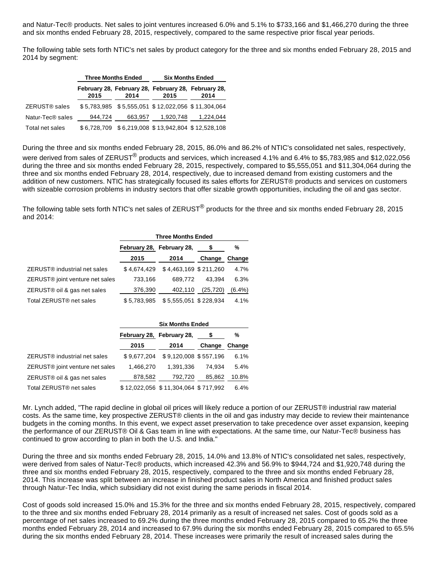and Natur-Tec® products. Net sales to joint ventures increased 6.0% and 5.1% to \$733,166 and \$1,466,270 during the three and six months ended February 28, 2015, respectively, compared to the same respective prior fiscal year periods.

The following table sets forth NTIC's net sales by product category for the three and six months ended February 28, 2015 and 2014 by segment:

|                              |         | <b>Three Months Ended</b> | <b>Six Months Ended</b>                                     |                                                   |  |  |
|------------------------------|---------|---------------------------|-------------------------------------------------------------|---------------------------------------------------|--|--|
|                              | 2015    | 2014                      | February 28, February 28, February 28, February 28,<br>2015 | 2014                                              |  |  |
| ZERUST® sales                |         |                           |                                                             | \$5,783,985 \$5,555,051 \$12,022,056 \$11,304,064 |  |  |
| Natur-Tec <sup>®</sup> sales | 944.724 | 663.957                   | 1,920,748                                                   | 1,224,044                                         |  |  |
| Total net sales              |         |                           | \$6,728,709 \$6,219,008 \$13,942,804 \$12,528,108           |                                                   |  |  |

During the three and six months ended February 28, 2015, 86.0% and 86.2% of NTIC's consolidated net sales, respectively,

were derived from sales of ZERUST<sup>®</sup> products and services, which increased 4.1% and 6.4% to \$5,783,985 and \$12,022,056 during the three and six months ended February 28, 2015, respectively, compared to \$5,555,051 and \$11,304,064 during the three and six months ended February 28, 2014, respectively, due to increased demand from existing customers and the addition of new customers. NTIC has strategically focused its sales efforts for ZERUST® products and services on customers with sizeable corrosion problems in industry sectors that offer sizable growth opportunities, including the oil and gas sector.

The following table sets forth NTIC's net sales of ZERUST<sup>®</sup> products for the three and six months ended February 28, 2015 and 2014:

|                                             | <b>Three Months Ended</b> |                       |           |        |
|---------------------------------------------|---------------------------|-----------------------|-----------|--------|
|                                             | February 28, February 28, |                       | S.        | %      |
|                                             | 2015                      | 2014                  | Change    | Change |
| ZERUST <sup>®</sup> industrial net sales    | \$4.674.429               | \$4,463,169 \$211,260 |           | 4.7%   |
| ZERUST <sup>®</sup> joint venture net sales | 733,166                   | 689,772               | 43.394    | 6.3%   |
| ZERUST® oil & gas net sales                 | 376,390                   | 402,110               | (25, 720) | (6.4%) |
| Total ZERUST <sup>®</sup> net sales         | \$5.783.985               | \$5,555,051 \$228,934 |           | 4.1%   |

|                                             | <b>Six Months Ended</b>   |                                     |        |        |
|---------------------------------------------|---------------------------|-------------------------------------|--------|--------|
|                                             | February 28, February 28, |                                     |        | %      |
|                                             | 2015                      | 2014                                | Change | Change |
| ZERUST <sup>®</sup> industrial net sales    | \$9,677,204               | \$9,120,008 \$557,196               |        | 6.1%   |
| ZERUST <sup>®</sup> joint venture net sales | 1,466,270                 | 1.391.336                           | 74.934 | 5.4%   |
| ZERUST® oil & gas net sales                 | 878,582                   | 792,720                             | 85.862 | 10.8%  |
| Total ZERUST <sup>®</sup> net sales         |                           | \$12,022,056 \$11,304,064 \$717,992 |        | 6.4%   |

Mr. Lynch added, "The rapid decline in global oil prices will likely reduce a portion of our ZERUST® industrial raw material costs. As the same time, key prospective ZERUST® clients in the oil and gas industry may decide to review their maintenance budgets in the coming months. In this event, we expect asset preservation to take precedence over asset expansion, keeping the performance of our ZERUST® Oil & Gas team in line with expectations. At the same time, our Natur-Tec® business has continued to grow according to plan in both the U.S. and India."

During the three and six months ended February 28, 2015, 14.0% and 13.8% of NTIC's consolidated net sales, respectively, were derived from sales of Natur-Tec® products, which increased 42.3% and 56.9% to \$944,724 and \$1,920,748 during the three and six months ended February 28, 2015, respectively, compared to the three and six months ended February 28, 2014. This increase was split between an increase in finished product sales in North America and finished product sales through Natur-Tec India, which subsidiary did not exist during the same periods in fiscal 2014.

Cost of goods sold increased 15.0% and 15.3% for the three and six months ended February 28, 2015, respectively, compared to the three and six months ended February 28, 2014 primarily as a result of increased net sales. Cost of goods sold as a percentage of net sales increased to 69.2% during the three months ended February 28, 2015 compared to 65.2% the three months ended February 28, 2014 and increased to 67.9% during the six months ended February 28, 2015 compared to 65.5% during the six months ended February 28, 2014. These increases were primarily the result of increased sales during the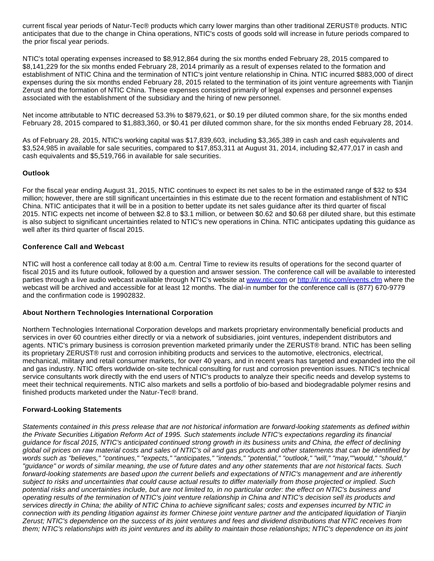current fiscal year periods of Natur-Tec® products which carry lower margins than other traditional ZERUST® products. NTIC anticipates that due to the change in China operations, NTIC's costs of goods sold will increase in future periods compared to the prior fiscal year periods.

NTIC's total operating expenses increased to \$8,912,864 during the six months ended February 28, 2015 compared to \$8,141,229 for the six months ended February 28, 2014 primarily as a result of expenses related to the formation and establishment of NTIC China and the termination of NTIC's joint venture relationship in China. NTIC incurred \$883,000 of direct expenses during the six months ended February 28, 2015 related to the termination of its joint venture agreements with Tianjin Zerust and the formation of NTIC China. These expenses consisted primarily of legal expenses and personnel expenses associated with the establishment of the subsidiary and the hiring of new personnel.

Net income attributable to NTIC decreased 53.3% to \$879,621, or \$0.19 per diluted common share, for the six months ended February 28, 2015 compared to \$1,883,360, or \$0.41 per diluted common share, for the six months ended February 28, 2014.

As of February 28, 2015, NTIC's working capital was \$17,839,603, including \$3,365,389 in cash and cash equivalents and \$3,524,985 in available for sale securities, compared to \$17,853,311 at August 31, 2014, including \$2,477,017 in cash and cash equivalents and \$5,519,766 in available for sale securities.

### **Outlook**

For the fiscal year ending August 31, 2015, NTIC continues to expect its net sales to be in the estimated range of \$32 to \$34 million; however, there are still significant uncertainties in this estimate due to the recent formation and establishment of NTIC China. NTIC anticipates that it will be in a position to better update its net sales guidance after its third quarter of fiscal 2015. NTIC expects net income of between \$2.8 to \$3.1 million, or between \$0.62 and \$0.68 per diluted share, but this estimate is also subject to significant uncertainties related to NTIC's new operations in China. NTIC anticipates updating this guidance as well after its third quarter of fiscal 2015.

### **Conference Call and Webcast**

NTIC will host a conference call today at 8:00 a.m. Central Time to review its results of operations for the second quarter of fiscal 2015 and its future outlook, followed by a question and answer session. The conference call will be available to interested parties through a live audio webcast available through NTIC's website at [www.ntic.com](http://www.globenewswire.com/newsroom/ctr?d=10127888&l=16&a=www.ntic.com&u=http%3A%2F%2Fwww.ntic.com) or [http://ir.ntic.com/events.cfm](http://www.globenewswire.com/newsroom/ctr?d=10127888&l=16&u=http%3A%2F%2Fir.ntic.com%2Fevents.cfm) where the webcast will be archived and accessible for at least 12 months. The dial-in number for the conference call is (877) 670-9779 and the confirmation code is 19902832.

## **About Northern Technologies International Corporation**

Northern Technologies International Corporation develops and markets proprietary environmentally beneficial products and services in over 60 countries either directly or via a network of subsidiaries, joint ventures, independent distributors and agents. NTIC's primary business is corrosion prevention marketed primarily under the ZERUST® brand. NTIC has been selling its proprietary ZERUST® rust and corrosion inhibiting products and services to the automotive, electronics, electrical, mechanical, military and retail consumer markets, for over 40 years, and in recent years has targeted and expanded into the oil and gas industry. NTIC offers worldwide on-site technical consulting for rust and corrosion prevention issues. NTIC's technical service consultants work directly with the end users of NTIC's products to analyze their specific needs and develop systems to meet their technical requirements. NTIC also markets and sells a portfolio of bio-based and biodegradable polymer resins and finished products marketed under the Natur-Tec® brand.

## **Forward-Looking Statements**

Statements contained in this press release that are not historical information are forward-looking statements as defined within the Private Securities Litigation Reform Act of 1995. Such statements include NTIC's expectations regarding its financial guidance for fiscal 2015, NTIC's anticipated continued strong growth in its business units and China, the effect of declining global oil prices on raw material costs and sales of NTIC's oil and gas products and other statements that can be identified by words such as "believes," "continues," "expects," "anticipates," "intends," "potential," "outlook," "will," "may,""would," "should," "guidance" or words of similar meaning, the use of future dates and any other statements that are not historical facts. Such forward-looking statements are based upon the current beliefs and expectations of NTIC's management and are inherently subject to risks and uncertainties that could cause actual results to differ materially from those projected or implied. Such potential risks and uncertainties include, but are not limited to, in no particular order: the effect on NTIC's business and operating results of the termination of NTIC's joint venture relationship in China and NTIC's decision sell its products and services directly in China; the ability of NTIC China to achieve significant sales; costs and expenses incurred by NTIC in connection with its pending litigation against its former Chinese joint venture partner and the anticipated liquidation of Tianjin Zerust; NTIC's dependence on the success of its joint ventures and fees and dividend distributions that NTIC receives from them; NTIC's relationships with its joint ventures and its ability to maintain those relationships; NTIC's dependence on its joint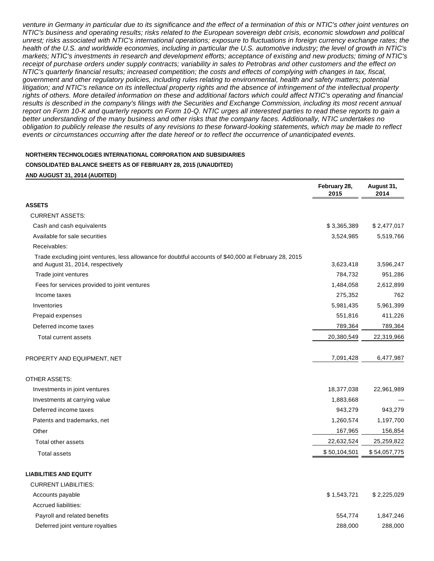venture in Germany in particular due to its significance and the effect of a termination of this or NTIC's other joint ventures on NTIC's business and operating results; risks related to the European sovereign debt crisis, economic slowdown and political unrest; risks associated with NTIC's international operations; exposure to fluctuations in foreign currency exchange rates; the health of the U.S. and worldwide economies, including in particular the U.S. automotive industry; the level of growth in NTIC's markets; NTIC's investments in research and development efforts; acceptance of existing and new products; timing of NTIC's receipt of purchase orders under supply contracts; variability in sales to Petrobras and other customers and the effect on NTIC's quarterly financial results; increased competition; the costs and effects of complying with changes in tax, fiscal, government and other regulatory policies, including rules relating to environmental, health and safety matters; potential litigation; and NTIC's reliance on its intellectual property rights and the absence of infringement of the intellectual property rights of others. More detailed information on these and additional factors which could affect NTIC's operating and financial results is described in the company's filings with the Securities and Exchange Commission, including its most recent annual report on Form 10-K and quarterly reports on Form 10-Q. NTIC urges all interested parties to read these reports to gain a better understanding of the many business and other risks that the company faces. Additionally, NTIC undertakes no obligation to publicly release the results of any revisions to these forward-looking statements, which may be made to reflect events or circumstances occurring after the date hereof or to reflect the occurrence of unanticipated events.

#### **NORTHERN TECHNOLOGIES INTERNATIONAL CORPORATION AND SUBSIDIARIES**

#### **CONSOLIDATED BALANCE SHEETS AS OF FEBRUARY 28, 2015 (UNAUDITED)**

**AND AUGUST 31, 2014 (AUDITED)**

|                                                                                                                                            | February 28,<br>2015 | August 31,<br>2014 |
|--------------------------------------------------------------------------------------------------------------------------------------------|----------------------|--------------------|
| <b>ASSETS</b>                                                                                                                              |                      |                    |
| <b>CURRENT ASSETS:</b>                                                                                                                     |                      |                    |
| Cash and cash equivalents                                                                                                                  | \$3,365,389          | \$2,477,017        |
| Available for sale securities                                                                                                              | 3,524,985            | 5,519,766          |
| Receivables:                                                                                                                               |                      |                    |
| Trade excluding joint ventures, less allowance for doubtful accounts of \$40,000 at February 28, 2015<br>and August 31, 2014, respectively | 3,623,418            | 3,596,247          |
| Trade joint ventures                                                                                                                       | 784,732              | 951,286            |
| Fees for services provided to joint ventures                                                                                               | 1,484,058            | 2,612,899          |
| Income taxes                                                                                                                               | 275,352              | 762                |
| Inventories                                                                                                                                | 5,981,435            | 5,961,399          |
| Prepaid expenses                                                                                                                           | 551,816              | 411,226            |
| Deferred income taxes                                                                                                                      | 789,364              | 789,364            |
| Total current assets                                                                                                                       | 20,380,549           | 22,319,966         |
| PROPERTY AND EQUIPMENT, NET                                                                                                                | 7,091,428            | 6,477,987          |
| <b>OTHER ASSETS:</b>                                                                                                                       |                      |                    |
| Investments in joint ventures                                                                                                              | 18,377,038           | 22,961,989         |
| Investments at carrying value                                                                                                              | 1,883,668            |                    |
| Deferred income taxes                                                                                                                      | 943,279              | 943,279            |
| Patents and trademarks, net                                                                                                                | 1,260,574            | 1,197,700          |
| Other                                                                                                                                      | 167,965              | 156,854            |
| Total other assets                                                                                                                         | 22,632,524           | 25,259,822         |
| <b>Total assets</b>                                                                                                                        | \$50,104,501         | \$54,057,775       |
| <b>LIABILITIES AND EQUITY</b>                                                                                                              |                      |                    |
| <b>CURRENT LIABILITIES:</b>                                                                                                                |                      |                    |
| Accounts payable                                                                                                                           | \$1,543,721          | \$2,225,029        |
| <b>Accrued liabilities:</b>                                                                                                                |                      |                    |
| Payroll and related benefits                                                                                                               | 554,774              | 1,847,246          |

Deferred joint venture royalties 288,000 288,000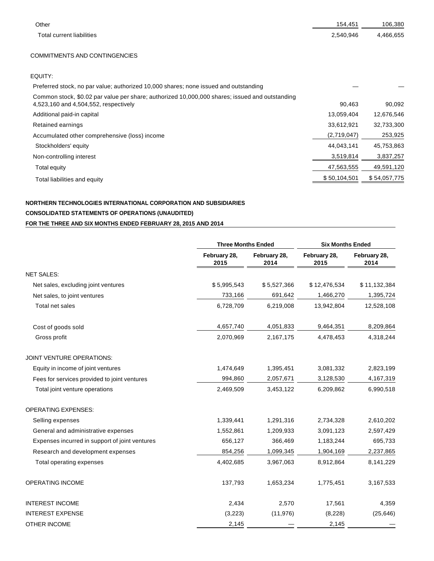| Other                                                                                                                                   | 154,451      | 106,380      |
|-----------------------------------------------------------------------------------------------------------------------------------------|--------------|--------------|
| Total current liabilities                                                                                                               | 2,540,946    | 4,466,655    |
|                                                                                                                                         |              |              |
| <b>COMMITMENTS AND CONTINGENCIES</b>                                                                                                    |              |              |
| EQUITY:                                                                                                                                 |              |              |
| Preferred stock, no par value; authorized 10,000 shares; none issued and outstanding                                                    |              |              |
| Common stock, \$0.02 par value per share; authorized 10,000,000 shares; issued and outstanding<br>4,523,160 and 4,504,552, respectively | 90,463       | 90,092       |
| Additional paid-in capital                                                                                                              | 13,059,404   | 12,676,546   |
| Retained earnings                                                                                                                       | 33,612,921   | 32,733,300   |
| Accumulated other comprehensive (loss) income                                                                                           | (2,719,047)  | 253,925      |
| Stockholders' equity                                                                                                                    | 44,043,141   | 45,753,863   |
| Non-controlling interest                                                                                                                | 3,519,814    | 3,837,257    |
| Total equity                                                                                                                            | 47,563,555   | 49,591,120   |
| Total liabilities and equity                                                                                                            | \$50,104,501 | \$54,057,775 |

# **NORTHERN TECHNOLOGIES INTERNATIONAL CORPORATION AND SUBSIDIARIES CONSOLIDATED STATEMENTS OF OPERATIONS (UNAUDITED) FOR THE THREE AND SIX MONTHS ENDED FEBRUARY 28, 2015 AND 2014**

|                                                | <b>Three Months Ended</b> |                      | <b>Six Months Ended</b> |                      |
|------------------------------------------------|---------------------------|----------------------|-------------------------|----------------------|
|                                                | February 28,<br>2015      | February 28,<br>2014 | February 28,<br>2015    | February 28,<br>2014 |
| <b>NET SALES:</b>                              |                           |                      |                         |                      |
| Net sales, excluding joint ventures            | \$5,995,543               | \$5,527,366          | \$12,476,534            | \$11,132,384         |
| Net sales, to joint ventures                   | 733,166                   | 691,642              | 1,466,270               | 1,395,724            |
| Total net sales                                | 6,728,709                 | 6,219,008            | 13,942,804              | 12,528,108           |
| Cost of goods sold                             | 4,657,740                 | 4,051,833            | 9,464,351               | 8,209,864            |
| Gross profit                                   | 2,070,969                 | 2,167,175            | 4,478,453               | 4,318,244            |
| JOINT VENTURE OPERATIONS:                      |                           |                      |                         |                      |
| Equity in income of joint ventures             | 1,474,649                 | 1,395,451            | 3,081,332               | 2,823,199            |
| Fees for services provided to joint ventures   | 994,860                   | 2,057,671            | 3,128,530               | 4,167,319            |
| Total joint venture operations                 | 2,469,509                 | 3,453,122            | 6,209,862               | 6,990,518            |
| <b>OPERATING EXPENSES:</b>                     |                           |                      |                         |                      |
| Selling expenses                               | 1,339,441                 | 1,291,316            | 2,734,328               | 2,610,202            |
| General and administrative expenses            | 1,552,861                 | 1,209,933            | 3,091,123               | 2,597,429            |
| Expenses incurred in support of joint ventures | 656,127                   | 366,469              | 1,183,244               | 695,733              |
| Research and development expenses              | 854,256                   | 1,099,345            | 1,904,169               | 2,237,865            |
| Total operating expenses                       | 4,402,685                 | 3,967,063            | 8,912,864               | 8,141,229            |
| OPERATING INCOME                               | 137,793                   | 1,653,234            | 1,775,451               | 3,167,533            |
| <b>INTEREST INCOME</b>                         | 2,434                     | 2,570                | 17,561                  | 4,359                |
| <b>INTEREST EXPENSE</b>                        | (3,223)                   | (11, 976)            | (8, 228)                | (25, 646)            |
| OTHER INCOME                                   | 2,145                     |                      | 2,145                   |                      |